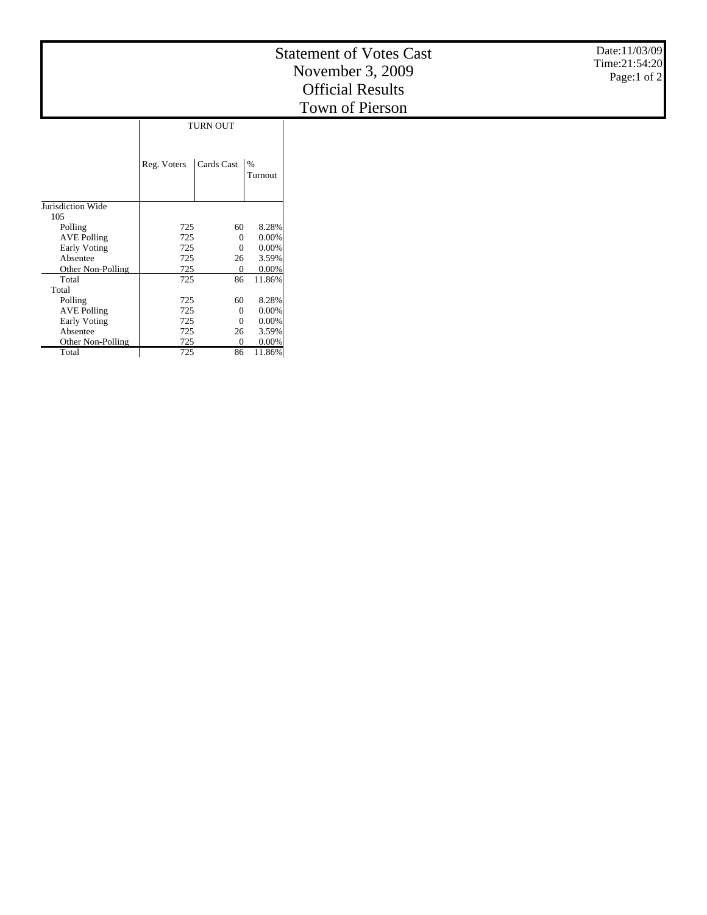|                               |             |                  |                          | <b>Statement of Votes Cast</b><br>November 3, 2009<br><b>Official Results</b><br>Town of Pierson | Date:11/03/09<br>Time:21:54:20<br>Page:1 of $2$ |
|-------------------------------|-------------|------------------|--------------------------|--------------------------------------------------------------------------------------------------|-------------------------------------------------|
|                               |             | TURN OUT         |                          |                                                                                                  |                                                 |
|                               | Reg. Voters | Cards Cast       | $\frac{9}{6}$<br>Turnout |                                                                                                  |                                                 |
| Jurisdiction Wide             |             |                  |                          |                                                                                                  |                                                 |
| 105                           |             |                  |                          |                                                                                                  |                                                 |
| Polling                       | 725         | 60               | 8.28%                    |                                                                                                  |                                                 |
| <b>AVE Polling</b>            | 725         | $\theta$         | 0.00%                    |                                                                                                  |                                                 |
| Early Voting                  | 725         | $\theta$         | 0.00%                    |                                                                                                  |                                                 |
| Absentee                      | 725         | 26               | 3.59%                    |                                                                                                  |                                                 |
| Other Non-Polling             | 725         | $\boldsymbol{0}$ | 0.00%                    |                                                                                                  |                                                 |
| Total                         | 725         | 86               | 11.86%                   |                                                                                                  |                                                 |
| Total                         |             |                  |                          |                                                                                                  |                                                 |
| Polling<br><b>AVE Polling</b> | 725<br>725  | 60<br>$\theta$   | 8.28%<br>$0.00\%$        |                                                                                                  |                                                 |
| <b>Early Voting</b>           | 725         | $\theta$         | 0.00%                    |                                                                                                  |                                                 |
| Absentee                      | 725         | 26               | 3.59%                    |                                                                                                  |                                                 |
| Other Non-Polling             | 725         | $\theta$         | $0.00\%$                 |                                                                                                  |                                                 |
| Total                         | 725         | 86               | 11.86%                   |                                                                                                  |                                                 |